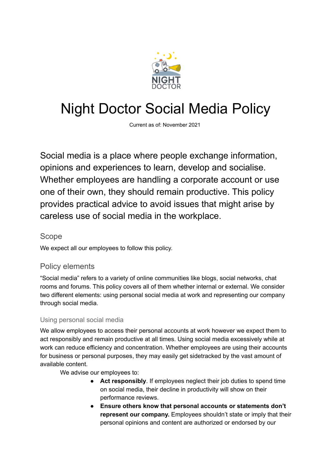

# Night Doctor Social Media Policy

Current as of: November 2021

Social media is a place where people exchange information, opinions and experiences to learn, develop and socialise. Whether employees are handling a corporate account or use one of their own, they should remain productive. This policy provides practical advice to avoid issues that might arise by careless use of social media in the workplace.

#### Scope

We expect all our employees to follow this policy.

## Policy elements

"Social media" refers to a variety of online communities like blogs, social networks, chat rooms and forums. This policy covers all of them whether internal or external. We consider two different elements: using personal social media at work and representing our company through social media.

### Using personal social media

We allow employees to access their personal accounts at work however we expect them to act responsibly and remain productive at all times. Using social media excessively while at work can reduce efficiency and concentration. Whether employees are using their accounts for business or personal purposes, they may easily get sidetracked by the vast amount of available content.

We advise our employees to:

- **Act responsibly**. If employees neglect their job duties to spend time on social media, their decline in productivity will show on their performance reviews.
- **Ensure others know that personal accounts or statements don't represent our company.** Employees shouldn't state or imply that their personal opinions and content are authorized or endorsed by our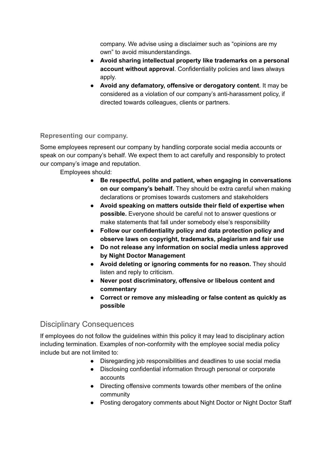company. We advise using a disclaimer such as "opinions are my own" to avoid misunderstandings.

- **Avoid sharing intellectual property like trademarks on a personal account without approval**. Confidentiality policies and laws always apply.
- **Avoid any defamatory, offensive or derogatory content**. It may be considered as a violation of our company's anti-harassment policy, if directed towards colleagues, clients or partners.

#### **Representing our company.**

Some employees represent our company by handling corporate social media accounts or speak on our company's behalf. We expect them to act carefully and responsibly to protect our company's image and reputation.

Employees should:

- **Be respectful, polite and patient, when engaging in conversations on our company's behalf.** They should be extra careful when making declarations or promises towards customers and stakeholders
- **Avoid speaking on matters outside their field of expertise when possible.** Everyone should be careful not to answer questions or make statements that fall under somebody else's responsibility
- **● Follow our confidentiality policy and data protection policy and observe laws on copyright, trademarks, plagiarism and fair use**
- **● Do not release any information on social media unless approved by Night Doctor Management**
- **Avoid deleting or ignoring comments for no reason.** They should listen and reply to criticism.
- **● Never post discriminatory, offensive or libelous content and commentary**
- **● Correct or remove any misleading or false content as quickly as possible**

### Disciplinary Consequences

If employees do not follow the guidelines within this policy it may lead to disciplinary action including termination. Examples of non-conformity with the employee social media policy include but are not limited to:

- Disregarding job responsibilities and deadlines to use social media
- Disclosing confidential information through personal or corporate accounts
- Directing offensive comments towards other members of the online community
- Posting derogatory comments about Night Doctor or Night Doctor Staff